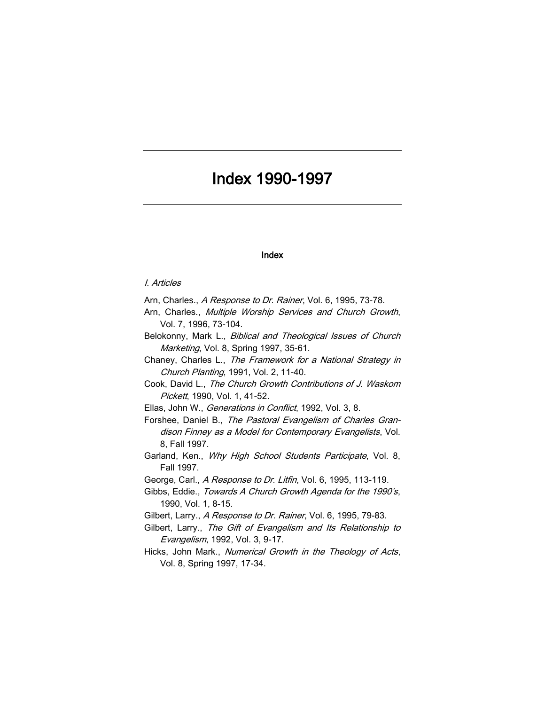# Index 1990-1997

### Index

#### I. Articles

Arn, Charles., A Response to Dr. Rainer, Vol. 6, 1995, 73-78.

Arn, Charles., Multiple Worship Services and Church Growth, Vol. 7, 1996, 73-104.

Belokonny, Mark L., Biblical and Theological Issues of Church Marketing, Vol. 8, Spring 1997, 35-61.

Chaney, Charles L., The Framework for a National Strategy in Church Planting, 1991, Vol. 2, 11-40.

Cook, David L., The Church Growth Contributions of J. Waskom Pickett, 1990, Vol. 1, 41-52.

Ellas, John W., Generations in Conflict, 1992, Vol. 3, 8.

Forshee, Daniel B., The Pastoral Evangelism of Charles Grandison Finney as a Model for Contemporary Evangelists, Vol. 8, Fall 1997.

Garland, Ken., Why High School Students Participate, Vol. 8, Fall 1997.

George, Carl., A Response to Dr. Litfin, Vol. 6, 1995, 113-119.

Gibbs, Eddie., Towards A Church Growth Agenda for the 1990's, 1990, Vol. 1, 8-15.

Gilbert, Larry., A Response to Dr. Rainer, Vol. 6, 1995, 79-83.

Gilbert, Larry., The Gift of Evangelism and Its Relationship to Evangelism, 1992, Vol. 3, 9-17.

Hicks, John Mark., Numerical Growth in the Theology of Acts, Vol. 8, Spring 1997, 17-34.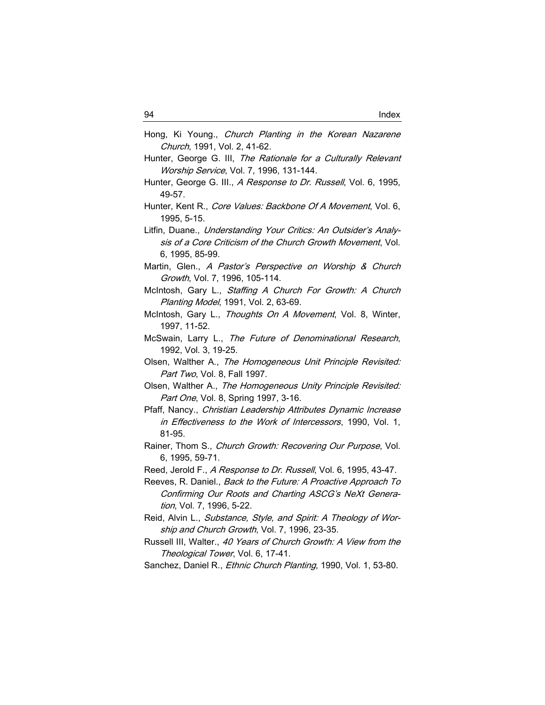| Hong, Ki Young., Church Planting in the Korean Nazarene<br>Church, 1991, Vol. 2, 41-62.                                                                                                                                   |
|---------------------------------------------------------------------------------------------------------------------------------------------------------------------------------------------------------------------------|
| Hunter, George G. III, The Rationale for a Culturally Relevant<br>Worship Service, Vol. 7, 1996, 131-144.                                                                                                                 |
| Hunter, George G. III., A Response to Dr. Russell, Vol. 6, 1995,<br>49-57.                                                                                                                                                |
| Hunter, Kent R., Core Values: Backbone Of A Movement, Vol. 6,<br>1995, 5-15.                                                                                                                                              |
| Litfin, Duane., Understanding Your Critics: An Outsider's Analy-<br>sis of a Core Criticism of the Church Growth Movement, Vol.<br>6, 1995, 85-99.                                                                        |
| Martin, Glen., A Pastor's Perspective on Worship & Church<br>Growth, Vol. 7, 1996, 105-114.                                                                                                                               |
| McIntosh, Gary L., Staffing A Church For Growth: A Church<br>Planting Model, 1991, Vol. 2, 63-69.                                                                                                                         |
| McIntosh, Gary L., Thoughts On A Movement, Vol. 8, Winter,<br>1997, 11-52.                                                                                                                                                |
| McSwain, Larry L., The Future of Denominational Research,<br>1992, Vol. 3, 19-25.                                                                                                                                         |
| Olsen, Walther A., The Homogeneous Unit Principle Revisited:<br>Part Two, Vol. 8, Fall 1997.                                                                                                                              |
| Olsen, Walther A., The Homogeneous Unity Principle Revisited:<br>Part One, Vol. 8, Spring 1997, 3-16.                                                                                                                     |
| Pfaff, Nancy., Christian Leadership Attributes Dynamic Increase<br>in Effectiveness to the Work of Intercessors, 1990, Vol. 1,<br>81-95.                                                                                  |
| Rainer, Thom S., Church Growth: Recovering Our Purpose, Vol.<br>6, 1995, 59-71.                                                                                                                                           |
| Reed, Jerold F., A Response to Dr. Russell, Vol. 6, 1995, 43-47.<br>Reeves, R. Daniel., Back to the Future: A Proactive Approach To<br>Confirming Our Roots and Charting ASCG's NeXt Genera-<br>tion, Vol. 7, 1996, 5-22. |
| Reid, Alvin L., Substance, Style, and Spirit: A Theology of Wor-<br>ship and Church Growth, Vol. 7, 1996, 23-35.                                                                                                          |
| Russell III, Walter., 40 Years of Church Growth: A View from the<br>Theological Tower, Vol. 6, 17-41.                                                                                                                     |
| Sanchez, Daniel R., <i>Ethnic Church Planting</i> , 1990, Vol. 1, 53-80.                                                                                                                                                  |
|                                                                                                                                                                                                                           |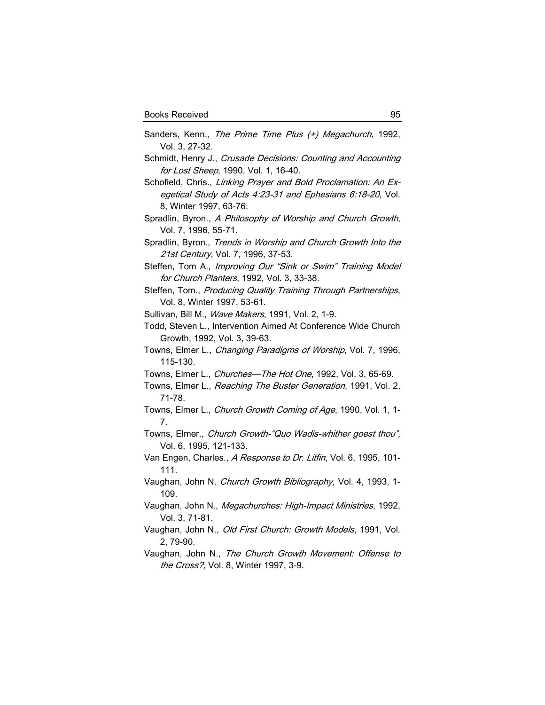| Sanders, Kenn., The Prime Time Plus (+) Megachurch, 1992,     |  |  |  |
|---------------------------------------------------------------|--|--|--|
| Vol. 3, 27-32.                                                |  |  |  |
| Schmidt, Henry J., Crusade Decisions: Counting and Accounting |  |  |  |

- for Lost Sheep, 1990, Vol. 1, 16-40.
- Schofield, Chris., Linking Prayer and Bold Proclamation: An Exegetical Study of Acts 4:23-31 and Ephesians 6:18-20, Vol. 8, Winter 1997, 63-76.
- Spradlin, Byron., A Philosophy of Worship and Church Growth, Vol. 7, 1996, 55-71.
- Spradlin, Byron., Trends in Worship and Church Growth Into the 21st Century, Vol. 7, 1996, 37-53.
- Steffen, Tom A., Improving Our "Sink or Swim" Training Model for Church Planters, 1992, Vol. 3, 33-38.
- Steffen, Tom., Producing Quality Training Through Partnerships, Vol. 8, Winter 1997, 53-61.

Sullivan, Bill M., Wave Makers, 1991, Vol. 2, 1-9.

- Todd, Steven L., Intervention Aimed At Conference Wide Church Growth, 1992, Vol. 3, 39-63.
- Towns, Elmer L., Changing Paradigms of Worship, Vol. 7, 1996, 115-130.
- Towns, Elmer L., Churches-The Hot One, 1992, Vol. 3, 65-69.
- Towns, Elmer L., Reaching The Buster Generation, 1991, Vol. 2, 71-78.
- Towns, Elmer L., Church Growth Coming of Age, 1990, Vol. 1, 1-7.
- Towns, Elmer., Church Growth-"Quo Wadis-whither goest thou", Vol. 6, 1995, 121-133.
- Van Engen, Charles., A Response to Dr. Litfin, Vol. 6, 1995, 101-111.
- Vaughan, John N. Church Growth Bibliography, Vol. 4, 1993, 1- 109.
- Vaughan, John N., Megachurches: High-Impact Ministries, 1992, Vol. 3, 71-81.
- Vaughan, John N., Old First Church: Growth Models, 1991, Vol. 2, 79-90.
- Vaughan, John N., The Church Growth Movement: Offense to the Cross?, Vol. 8, Winter 1997, 3-9.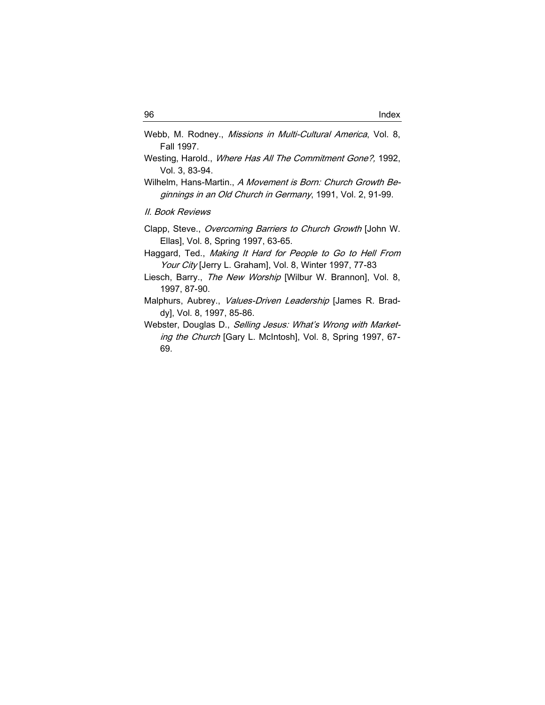- Webb, M. Rodney., Missions in Multi-Cultural America, Vol. 8, Fall 1997.
- Westing, Harold., Where Has All The Commitment Gone?, 1992, Vol. 3, 83-94.
- Wilhelm, Hans-Martin., A Movement is Born: Church Growth Beginnings in an Old Church in Germany, 1991, Vol. 2, 91-99.

### II. Book Reviews

- Clapp, Steve., Overcoming Barriers to Church Growth [John W. Ellas], Vol. 8, Spring 1997, 63-65.
- Haggard, Ted., Making It Hard for People to Go to Hell From Your City [Jerry L. Graham], Vol. 8, Winter 1997, 77-83
- Liesch, Barry., The New Worship [Wilbur W. Brannon], Vol. 8, 1997, 87-90.
- Malphurs, Aubrey., Values-Driven Leadership [James R. Braddy], Vol. 8, 1997, 85-86.
- Webster, Douglas D., Selling Jesus: What's Wrong with Marketing the Church [Gary L. McIntosh], Vol. 8, Spring 1997, 67-69.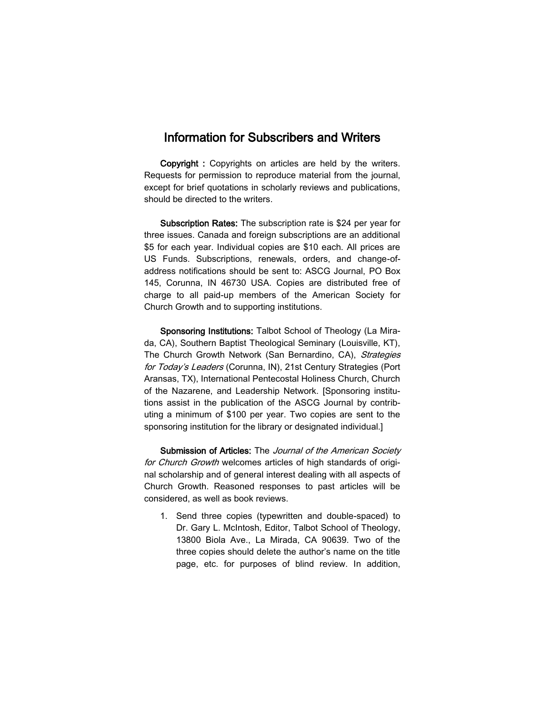### Information for Subscribers and Writers

Copyright : Copyrights on articles are held by the writers. Requests for permission to reproduce material from the journal, except for brief quotations in scholarly reviews and publications, should be directed to the writers.

Subscription Rates: The subscription rate is \$24 per year for three issues. Canada and foreign subscriptions are an additional \$5 for each year. Individual copies are \$10 each. All prices are US Funds. Subscriptions, renewals, orders, and change-ofaddress notifications should be sent to: ASCG Journal, PO Box 145, Corunna, IN 46730 USA. Copies are distributed free of charge to all paid-up members of the American Society for Church Growth and to supporting institutions.

Sponsoring Institutions: Talbot School of Theology (La Mirada, CA), Southern Baptist Theological Seminary (Louisville, KT), The Church Growth Network (San Bernardino, CA), Strategies for Today's Leaders (Corunna, IN), 21st Century Strategies (Port Aransas, TX), International Pentecostal Holiness Church, Church of the Nazarene, and Leadership Network. [Sponsoring institutions assist in the publication of the ASCG Journal by contributing a minimum of \$100 per year. Two copies are sent to the sponsoring institution for the library or designated individual.]

Submission of Articles: The Journal of the American Society for Church Growth welcomes articles of high standards of original scholarship and of general interest dealing with all aspects of Church Growth. Reasoned responses to past articles will be considered, as well as book reviews.

1. Send three copies (typewritten and double-spaced) to Dr. Gary L. McIntosh, Editor, Talbot School of Theology, 13800 Biola Ave., La Mirada, CA 90639. Two of the three copies should delete the author's name on the title page, etc. for purposes of blind review. In addition,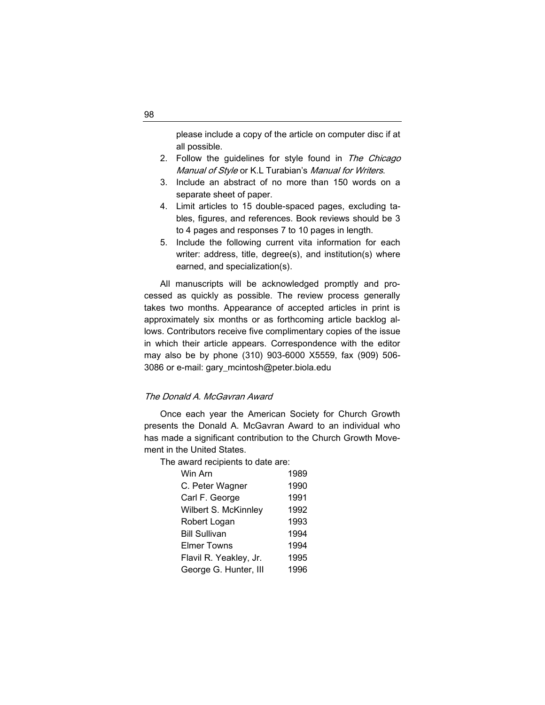please include a copy of the article on computer disc if at all possible.

- 2. Follow the guidelines for style found in The Chicago Manual of Style or K.L Turabian's Manual for Writers.
- 3. Include an abstract of no more than 150 words on a separate sheet of paper.
- 4. Limit articles to 15 double-spaced pages, excluding tables, figures, and references. Book reviews should be 3 to 4 pages and responses 7 to 10 pages in length.
- 5. Include the following current vita information for each writer: address, title, degree(s), and institution(s) where earned, and specialization(s).

All manuscripts will be acknowledged promptly and processed as quickly as possible. The review process generally takes two months. Appearance of accepted articles in print is approximately six months or as forthcoming article backlog allows. Contributors receive five complimentary copies of the issue in which their article appears. Correspondence with the editor may also be by phone (310) 903-6000 X5559, fax (909) 506- 3086 or e-mail: gary\_mcintosh@peter.biola.edu

### The Donald A. McGavran Award

Once each year the American Society for Church Growth presents the Donald A. McGavran Award to an individual who has made a significant contribution to the Church Growth Movement in the United States.

The award recipients to date are:

| Win Arn                | 1989 |
|------------------------|------|
| C. Peter Wagner        | 1990 |
| Carl F. George         | 1991 |
| Wilbert S. McKinnley   | 1992 |
| Robert Logan           | 1993 |
| <b>Bill Sullivan</b>   | 1994 |
| <b>Elmer Towns</b>     | 1994 |
| Flavil R. Yeakley, Jr. | 1995 |
| George G. Hunter, III  | 1996 |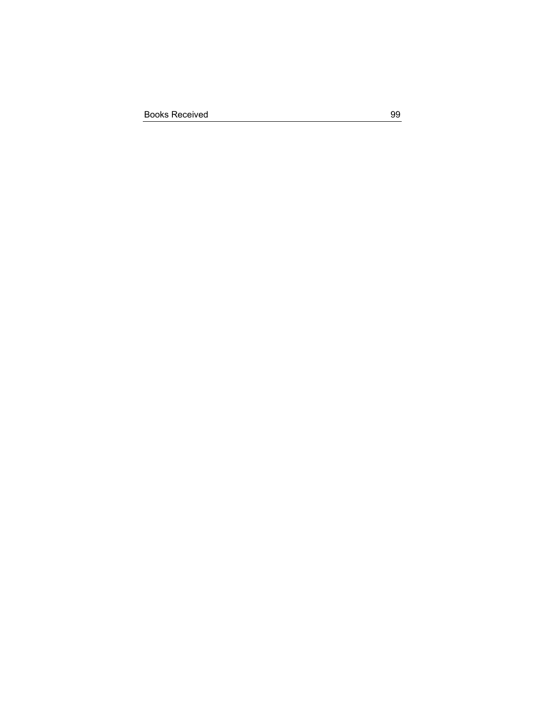Books Received 89